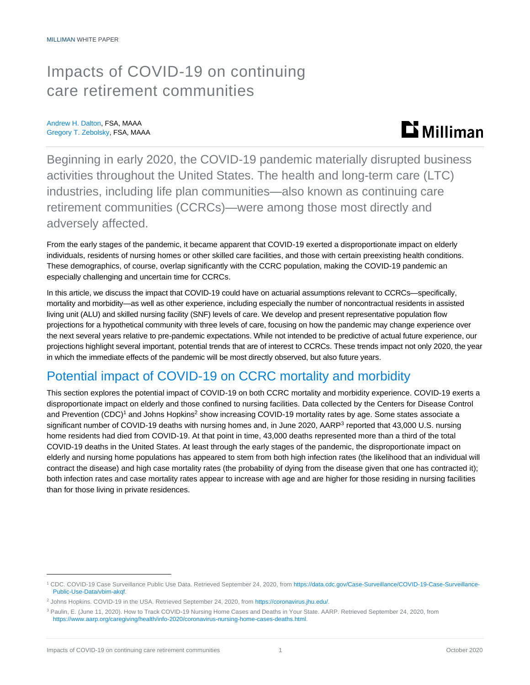## Impacts of COVID-19 on continuing care retirement communities

Andrew H. Dalton, FSA, MAAA Gregory T. Zebolsky, FSA, MAAA



Beginning in early 2020, the COVID-19 pandemic materially disrupted business activities throughout the United States. The health and long-term care (LTC) industries, including life plan communities—also known as continuing care retirement communities (CCRCs)—were among those most directly and adversely affected.

From the early stages of the pandemic, it became apparent that COVID-19 exerted a disproportionate impact on elderly individuals, residents of nursing homes or other skilled care facilities, and those with certain preexisting health conditions. These demographics, of course, overlap significantly with the CCRC population, making the COVID-19 pandemic an especially challenging and uncertain time for CCRCs.

In this article, we discuss the impact that COVID-19 could have on actuarial assumptions relevant to CCRCs—specifically, mortality and morbidity—as well as other experience, including especially the number of noncontractual residents in assisted living unit (ALU) and skilled nursing facility (SNF) levels of care. We develop and present representative population flow projections for a hypothetical community with three levels of care, focusing on how the pandemic may change experience over the next several years relative to pre-pandemic expectations. While not intended to be predictive of actual future experience, our projections highlight several important, potential trends that are of interest to CCRCs. These trends impact not only 2020, the year in which the immediate effects of the pandemic will be most directly observed, but also future years.

## Potential impact of COVID-19 on CCRC mortality and morbidity

This section explores the potential impact of COVID-19 on both CCRC mortality and morbidity experience. COVID-19 exerts a disproportionate impact on elderly and those confined to nursing facilities. Data collected by the Centers for Disease Control and Prevention (CDC)<sup>1</sup> and Johns Hopkins<sup>2</sup> show increasing COVID-19 mortality rates by age. Some states associate a significant number of COVID-19 deaths with nursing homes and, in June 2020, AARP<sup>3</sup> reported that 43,000 U.S. nursing home residents had died from COVID-19. At that point in time, 43,000 deaths represented more than a third of the total COVID-19 deaths in the United States. At least through the early stages of the pandemic, the disproportionate impact on elderly and nursing home populations has appeared to stem from both high infection rates (the likelihood that an individual will contract the disease) and high case mortality rates (the probability of dying from the disease given that one has contracted it); both infection rates and case mortality rates appear to increase with age and are higher for those residing in nursing facilities than for those living in private residences.

<sup>1</sup> CDC. COVID-19 Case Surveillance Public Use Data. Retrieved September 24, 2020, fro[m https://data.cdc.gov/Case-Surveillance/COVID-19-Case-Surveillance-](https://data.cdc.gov/Case-Surveillance/COVID-19-Case-Surveillance-Public-Use-Data/vbim-akqf)[Public-Use-Data/vbim-akqf.](https://data.cdc.gov/Case-Surveillance/COVID-19-Case-Surveillance-Public-Use-Data/vbim-akqf)

<sup>2</sup> Johns Hopkins. COVID-19 in the USA. Retrieved September 24, 2020, from [https://coronavirus.jhu.edu/.](https://coronavirus.jhu.edu/)

<sup>3</sup> Paulin, E. (June 11, 2020). How to Track COVID-19 Nursing Home Cases and Deaths in Your State. AARP. Retrieved September 24, 2020, from [https://www.aarp.org/caregiving/health/info-2020/coronavirus-nursing-home-cases-deaths.html.](https://www.aarp.org/caregiving/health/info-2020/coronavirus-nursing-home-cases-deaths.html)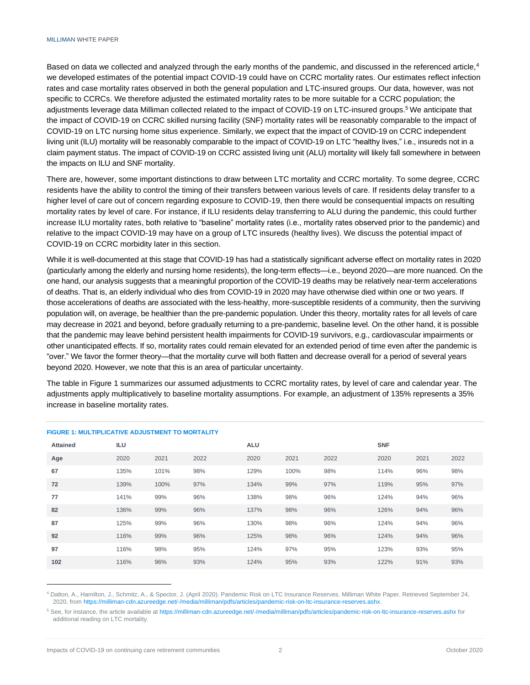Based on data we collected and analyzed through the early months of the pandemic, and discussed in the referenced article,<sup>4</sup> we developed estimates of the potential impact COVID-19 could have on CCRC mortality rates. Our estimates reflect infection rates and case mortality rates observed in both the general population and LTC-insured groups. Our data, however, was not specific to CCRCs. We therefore adjusted the estimated mortality rates to be more suitable for a CCRC population; the adjustments leverage data Milliman collected related to the impact of COVID-19 on LTC-insured groups.<sup>5</sup> We anticipate that the impact of COVID-19 on CCRC skilled nursing facility (SNF) mortality rates will be reasonably comparable to the impact of COVID-19 on LTC nursing home situs experience. Similarly, we expect that the impact of COVID-19 on CCRC independent living unit (ILU) mortality will be reasonably comparable to the impact of COVID-19 on LTC "healthy lives," i.e., insureds not in a claim payment status. The impact of COVID-19 on CCRC assisted living unit (ALU) mortality will likely fall somewhere in between the impacts on ILU and SNF mortality.

There are, however, some important distinctions to draw between LTC mortality and CCRC mortality. To some degree, CCRC residents have the ability to control the timing of their transfers between various levels of care. If residents delay transfer to a higher level of care out of concern regarding exposure to COVID-19, then there would be consequential impacts on resulting mortality rates by level of care. For instance, if ILU residents delay transferring to ALU during the pandemic, this could further increase ILU mortality rates, both relative to "baseline" mortality rates (i.e., mortality rates observed prior to the pandemic) and relative to the impact COVID-19 may have on a group of LTC insureds (healthy lives). We discuss the potential impact of COVID-19 on CCRC morbidity later in this section.

While it is well-documented at this stage that COVID-19 has had a statistically significant adverse effect on mortality rates in 2020 (particularly among the elderly and nursing home residents), the long-term effects—i.e., beyond 2020—are more nuanced. On the one hand, our analysis suggests that a meaningful proportion of the COVID-19 deaths may be relatively near-term accelerations of deaths. That is, an elderly individual who dies from COVID-19 in 2020 may have otherwise died within one or two years. If those accelerations of deaths are associated with the less-healthy, more-susceptible residents of a community, then the surviving population will, on average, be healthier than the pre-pandemic population. Under this theory, mortality rates for all levels of care may decrease in 2021 and beyond, before gradually returning to a pre-pandemic, baseline level. On the other hand, it is possible that the pandemic may leave behind persistent health impairments for COVID-19 survivors, e.g., cardiovascular impairments or other unanticipated effects. If so, mortality rates could remain elevated for an extended period of time even after the pandemic is "over." We favor the former theory—that the mortality curve will both flatten and decrease overall for a period of several years beyond 2020. However, we note that this is an area of particular uncertainty.

The table in Figure 1 summarizes our assumed adjustments to CCRC mortality rates, by level of care and calendar year. The adjustments apply multiplicatively to baseline mortality assumptions. For example, an adjustment of 135% represents a 35% increase in baseline mortality rates.

| <b>Attained</b> | ILU  |      |      | <b>ALU</b> |      |      | <b>SNF</b> |      |      |  |  |  |  |
|-----------------|------|------|------|------------|------|------|------------|------|------|--|--|--|--|
| Age             | 2020 | 2021 | 2022 | 2020       | 2021 | 2022 | 2020       | 2021 | 2022 |  |  |  |  |
| 67              | 135% | 101% | 98%  | 129%       | 100% | 98%  | 114%       | 96%  | 98%  |  |  |  |  |
| 72              | 139% | 100% | 97%  | 134%       | 99%  | 97%  | 119%       | 95%  | 97%  |  |  |  |  |
| 77              | 141% | 99%  | 96%  | 138%       | 98%  | 96%  | 124%       | 94%  | 96%  |  |  |  |  |
| 82              | 136% | 99%  | 96%  | 137%       | 98%  | 96%  | 126%       | 94%  | 96%  |  |  |  |  |
| 87              | 125% | 99%  | 96%  | 130%       | 98%  | 96%  | 124%       | 94%  | 96%  |  |  |  |  |
| 92              | 116% | 99%  | 96%  | 125%       | 98%  | 96%  | 124%       | 94%  | 96%  |  |  |  |  |
| 97              | 116% | 98%  | 95%  | 124%       | 97%  | 95%  | 123%       | 93%  | 95%  |  |  |  |  |
| 102             | 116% | 96%  | 93%  | 124%       | 95%  | 93%  | 122%       | 91%  | 93%  |  |  |  |  |

#### **FIGURE 1: MULTIPLICATIVE AD JUSTMENT TO MORTALITY**

Dalton, A., Hamilton, J., Schmitz, A., & Spector, J. (April 2020). Pandemic Risk on LTC Insurance Reserves. Milliman White Paper. Retrieved September 24, 2020, fro[m https://milliman-cdn.azureedge.net/-/media/milliman/pdfs/articles/pandemic-risk-on-ltc-insurance-reserves.ashx.](https://milliman-cdn.azureedge.net/-/media/milliman/pdfs/articles/pandemic-risk-on-ltc-insurance-reserves.ashx)

<sup>5</sup> See, for instance, the article available a[t https://milliman-cdn.azureedge.net/-/media/milliman/pdfs/articles/pandemic-risk-on-ltc-insurance-reserves.ashx](https://milliman-cdn.azureedge.net/-/media/milliman/pdfs/articles/pandemic-risk-on-ltc-insurance-reserves.ashx) for additional reading on LTC mortality.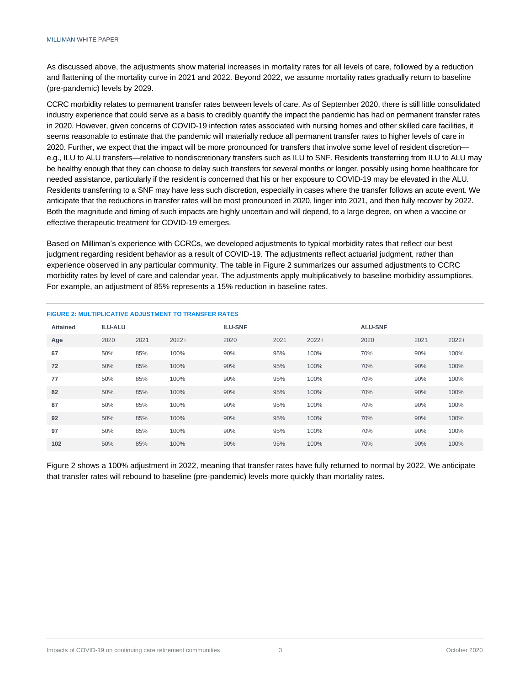As discussed above, the adjustments show material increases in mortality rates for all levels of care, followed by a reduction and flattening of the mortality curve in 2021 and 2022. Beyond 2022, we assume mortality rates gradually return to baseline (pre-pandemic) levels by 2029.

CCRC morbidity relates to permanent transfer rates between levels of care. As of September 2020, there is still little consolidated industry experience that could serve as a basis to credibly quantify the impact the pandemic has had on permanent transfer rates in 2020. However, given concerns of COVID-19 infection rates associated with nursing homes and other skilled care facilities, it seems reasonable to estimate that the pandemic will materially reduce all permanent transfer rates to higher levels of care in 2020. Further, we expect that the impact will be more pronounced for transfers that involve some level of resident discretion e.g., ILU to ALU transfers—relative to nondiscretionary transfers such as ILU to SNF. Residents transferring from ILU to ALU may be healthy enough that they can choose to delay such transfers for several months or longer, possibly using home healthcare for needed assistance, particularly if the resident is concerned that his or her exposure to COVID-19 may be elevated in the ALU. Residents transferring to a SNF may have less such discretion, especially in cases where the transfer follows an acute event. We anticipate that the reductions in transfer rates will be most pronounced in 2020, linger into 2021, and then fully recover by 2022. Both the magnitude and timing of such impacts are highly uncertain and will depend, to a large degree, on when a vaccine or effective therapeutic treatment for COVID-19 emerges.

Based on Milliman's experience with CCRCs, we developed adjustments to typical morbidity rates that reflect our best judgment regarding resident behavior as a result of COVID-19. The adjustments reflect actuarial judgment, rather than experience observed in any particular community. The table in Figure 2 summarizes our assumed adjustments to CCRC morbidity rates by level of care and calendar year. The adjustments apply multiplicatively to baseline morbidity assumptions. For example, an adjustment of 85% represents a 15% reduction in baseline rates.

| <b>Attained</b> | <b>ILU-ALU</b> |      |         | <b>ILU-SNF</b> |      |         | <b>ALU-SNF</b> |      |         |  |  |
|-----------------|----------------|------|---------|----------------|------|---------|----------------|------|---------|--|--|
| Age             | 2020           | 2021 | $2022+$ | 2020           | 2021 | $2022+$ | 2020           | 2021 | $2022+$ |  |  |
| 67              | 50%            | 85%  | 100%    | 90%            | 95%  | 100%    | 70%            | 90%  | 100%    |  |  |
| 72              | 50%            | 85%  | 100%    | 90%            | 95%  | 100%    | 70%            | 90%  | 100%    |  |  |
| 77              | 50%            | 85%  | 100%    | 90%            | 95%  | 100%    | 70%            | 90%  | 100%    |  |  |
| 82              | 50%            | 85%  | 100%    | 90%            | 95%  | 100%    | 70%            | 90%  | 100%    |  |  |
| 87              | 50%            | 85%  | 100%    | 90%            | 95%  | 100%    | 70%            | 90%  | 100%    |  |  |
| 92              | 50%            | 85%  | 100%    | 90%            | 95%  | 100%    | 70%            | 90%  | 100%    |  |  |
| 97              | 50%            | 85%  | 100%    | 90%            | 95%  | 100%    | 70%            | 90%  | 100%    |  |  |
| 102             | 50%            | 85%  | 100%    | 90%            | 95%  | 100%    | 70%            | 90%  | 100%    |  |  |

#### **FIGURE 2: MULTIPLICATIVE ADJUSTMENT TO TRANSFER RATES**

Figure 2 shows a 100% adjustment in 2022, meaning that transfer rates have fully returned to normal by 2022. We anticipate that transfer rates will rebound to baseline (pre-pandemic) levels more quickly than mortality rates.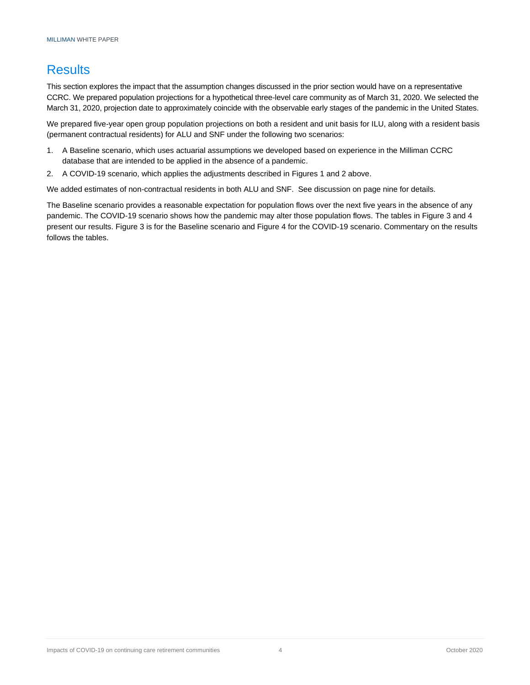## **Results**

This section explores the impact that the assumption changes discussed in the prior section would have on a representative CCRC. We prepared population projections for a hypothetical three-level care community as of March 31, 2020. We selected the March 31, 2020, projection date to approximately coincide with the observable early stages of the pandemic in the United States.

We prepared five-year open group population projections on both a resident and unit basis for ILU, along with a resident basis (permanent contractual residents) for ALU and SNF under the following two scenarios:

- 1. A Baseline scenario, which uses actuarial assumptions we developed based on experience in the Milliman CCRC database that are intended to be applied in the absence of a pandemic.
- 2. A COVID-19 scenario, which applies the adjustments described in Figures 1 and 2 above.

We added estimates of non-contractual residents in both ALU and SNF. See discussion on page nine for details.

The Baseline scenario provides a reasonable expectation for population flows over the next five years in the absence of any pandemic. The COVID-19 scenario shows how the pandemic may alter those population flows. The tables in Figure 3 and 4 present our results. Figure 3 is for the Baseline scenario and Figure 4 for the COVID-19 scenario. Commentary on the results follows the tables.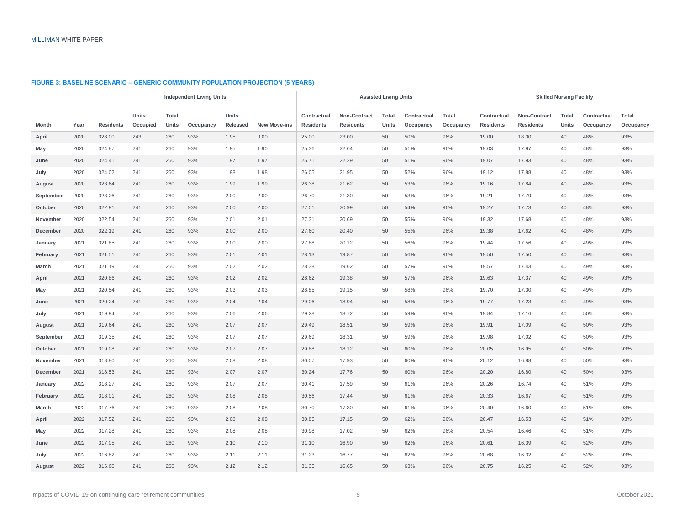|              |      |                  |                          |                       | <b>Independent Living Units</b> |                          |                     |                                 |                                  | <b>Assisted Living Units</b> |                          |                    | <b>Skilled Nursing Facility</b> |                                         |                       |                          |                           |  |  |
|--------------|------|------------------|--------------------------|-----------------------|---------------------------------|--------------------------|---------------------|---------------------------------|----------------------------------|------------------------------|--------------------------|--------------------|---------------------------------|-----------------------------------------|-----------------------|--------------------------|---------------------------|--|--|
| Month        | Year | <b>Residents</b> | <b>Units</b><br>Occupied | <b>Total</b><br>Units | Occupancy                       | <b>Units</b><br>Released | <b>New Move-ins</b> | Contractual<br><b>Residents</b> | Non-Contract<br><b>Residents</b> | <b>Total</b><br>Units        | Contractual<br>Occupancy | Total<br>Occupancy | Contractual<br><b>Residents</b> | <b>Non-Contract</b><br><b>Residents</b> | <b>Total</b><br>Units | Contractual<br>Occupancy | <b>Total</b><br>Occupancy |  |  |
| April        | 2020 | 328.00           | 243                      | 260                   | 93%                             | 1.95                     | 0.00                | 25.00                           | 23.00                            | 50                           | 50%                      | 96%                | 19.00                           | 18.00                                   | 40                    | 48%                      | 93%                       |  |  |
| May          | 2020 | 324.87           | 241                      | 260                   | 93%                             | 1.95                     | 1.90                | 25.36                           | 22.64                            | 50                           | 51%                      | 96%                | 19.03                           | 17.97                                   | 40                    | 48%                      | 93%                       |  |  |
| June         | 2020 | 324.41           | 241                      | 260                   | 93%                             | 1.97                     | 1.97                | 25.71                           | 22.29                            | 50                           | 51%                      | 96%                | 19.07                           | 17.93                                   | 40                    | 48%                      | 93%                       |  |  |
| July         | 2020 | 324.02           | 241                      | 260                   | 93%                             | 1.98                     | 1.98                | 26.05                           | 21.95                            | 50                           | 52%                      | 96%                | 19.12                           | 17.88                                   | 40                    | 48%                      | 93%                       |  |  |
| August       | 2020 | 323.64           | 241                      | 260                   | 93%                             | 1.99                     | 1.99                | 26.38                           | 21.62                            | 50                           | 53%                      | 96%                | 19.16                           | 17.84                                   | 40                    | 48%                      | 93%                       |  |  |
| September    | 2020 | 323.26           | 241                      | 260                   | 93%                             | 2.00                     | 2.00                | 26.70                           | 21.30                            | 50                           | 53%                      | 96%                | 19.21                           | 17.79                                   | 40                    | 48%                      | 93%                       |  |  |
| October      | 2020 | 322.91           | 241                      | 260                   | 93%                             | 2.00                     | 2.00                | 27.01                           | 20.99                            | 50                           | 54%                      | 96%                | 19.27                           | 17.73                                   | 40                    | 48%                      | 93%                       |  |  |
| November     | 2020 | 322.54           | 241                      | 260                   | 93%                             | 2.01                     | 2.01                | 27.31                           | 20.69                            | 50                           | 55%                      | 96%                | 19.32                           | 17.68                                   | 40                    | 48%                      | 93%                       |  |  |
| December     | 2020 | 322.19           | 241                      | 260                   | 93%                             | 2.00                     | 2.00                | 27.60                           | 20.40                            | 50                           | 55%                      | 96%                | 19.38                           | 17.62                                   | 40                    | 48%                      | 93%                       |  |  |
| January      | 2021 | 321.85           | 241                      | 260                   | 93%                             | 2.00                     | 2.00                | 27.88                           | 20.12                            | 50                           | 56%                      | 96%                | 19.44                           | 17.56                                   | 40                    | 49%                      | 93%                       |  |  |
| February     | 2021 | 321.51           | 241                      | 260                   | 93%                             | 2.01                     | 2.01                | 28.13                           | 19.87                            | 50                           | 56%                      | 96%                | 19.50                           | 17.50                                   | 40                    | 49%                      | 93%                       |  |  |
| <b>March</b> | 2021 | 321.19           | 241                      | 260                   | 93%                             | 2.02                     | 2.02                | 28.38                           | 19.62                            | 50                           | 57%                      | 96%                | 19.57                           | 17.43                                   | 40                    | 49%                      | 93%                       |  |  |
| April        | 2021 | 320.86           | 241                      | 260                   | 93%                             | 2.02                     | 2.02                | 28.62                           | 19.38                            | 50                           | 57%                      | 96%                | 19.63                           | 17.37                                   | 40                    | 49%                      | 93%                       |  |  |
| May          | 2021 | 320.54           | 241                      | 260                   | 93%                             | 2.03                     | 2.03                | 28.85                           | 19.15                            | 50                           | 58%                      | 96%                | 19.70                           | 17.30                                   | 40                    | 49%                      | 93%                       |  |  |
| June         | 2021 | 320.24           | 241                      | 260                   | 93%                             | 2.04                     | 2.04                | 29.06                           | 18.94                            | 50                           | 58%                      | 96%                | 19.77                           | 17.23                                   | 40                    | 49%                      | 93%                       |  |  |
| July         | 2021 | 319.94           | 241                      | 260                   | 93%                             | 2.06                     | 2.06                | 29.28                           | 18.72                            | 50                           | 59%                      | 96%                | 19.84                           | 17.16                                   | 40                    | 50%                      | 93%                       |  |  |
| August       | 2021 | 319.64           | 241                      | 260                   | 93%                             | 2.07                     | 2.07                | 29.49                           | 18.51                            | 50                           | 59%                      | 96%                | 19.91                           | 17.09                                   | 40                    | 50%                      | 93%                       |  |  |
| September    | 2021 | 319.35           | 241                      | 260                   | 93%                             | 2.07                     | 2.07                | 29.69                           | 18.31                            | 50                           | 59%                      | 96%                | 19.98                           | 17.02                                   | 40                    | 50%                      | 93%                       |  |  |
| October      | 2021 | 319.08           | 241                      | 260                   | 93%                             | 2.07                     | 2.07                | 29.88                           | 18.12                            | 50                           | 60%                      | 96%                | 20.05                           | 16.95                                   | 40                    | 50%                      | 93%                       |  |  |
| November     | 2021 | 318.80           | 241                      | 260                   | 93%                             | 2.08                     | 2.08                | 30.07                           | 17.93                            | 50                           | 60%                      | 96%                | 20.12                           | 16.88                                   | 40                    | 50%                      | 93%                       |  |  |
| December     | 2021 | 318.53           | 241                      | 260                   | 93%                             | 2.07                     | 2.07                | 30.24                           | 17.76                            | 50                           | 60%                      | 96%                | 20.20                           | 16.80                                   | 40                    | 50%                      | 93%                       |  |  |
| January      | 2022 | 318.27           | 241                      | 260                   | 93%                             | 2.07                     | 2.07                | 30.41                           | 17.59                            | 50                           | 61%                      | 96%                | 20.26                           | 16.74                                   | 40                    | 51%                      | 93%                       |  |  |
| February     | 2022 | 318.01           | 241                      | 260                   | 93%                             | 2.08                     | 2.08                | 30.56                           | 17.44                            | 50                           | 61%                      | 96%                | 20.33                           | 16.67                                   | 40                    | 51%                      | 93%                       |  |  |
| March        | 2022 | 317.76           | 241                      | 260                   | 93%                             | 2.08                     | 2.08                | 30.70                           | 17.30                            | 50                           | 61%                      | 96%                | 20.40                           | 16.60                                   | 40                    | 51%                      | 93%                       |  |  |
| April        | 2022 | 317.52           | 241                      | 260                   | 93%                             | 2.08                     | 2.08                | 30.85                           | 17.15                            | 50                           | 62%                      | 96%                | 20.47                           | 16.53                                   | 40                    | 51%                      | 93%                       |  |  |
| May          | 2022 | 317.28           | 241                      | 260                   | 93%                             | 2.08                     | 2.08                | 30.98                           | 17.02                            | 50                           | 62%                      | 96%                | 20.54                           | 16.46                                   | 40                    | 51%                      | 93%                       |  |  |
| June         | 2022 | 317.05           | 241                      | 260                   | 93%                             | 2.10                     | 2.10                | 31.10                           | 16.90                            | 50                           | 62%                      | 96%                | 20.61                           | 16.39                                   | 40                    | 52%                      | 93%                       |  |  |
| July         | 2022 | 316.82           | 241                      | 260                   | 93%                             | 2.11                     | 2.11                | 31.23                           | 16.77                            | 50                           | 62%                      | 96%                | 20.68                           | 16.32                                   | 40                    | 52%                      | 93%                       |  |  |
| August       | 2022 | 316.60           | 241                      | 260                   | 93%                             | 2.12                     | 2.12                | 31.35                           | 16.65                            | 50                           | 63%                      | 96%                | 20.75                           | 16.25                                   | 40                    | 52%                      | 93%                       |  |  |

#### **FIGURE 3: BASELINE SCENARIO – GENERIC COMMUNITY POPULATION PROJECTION (5 YEARS)**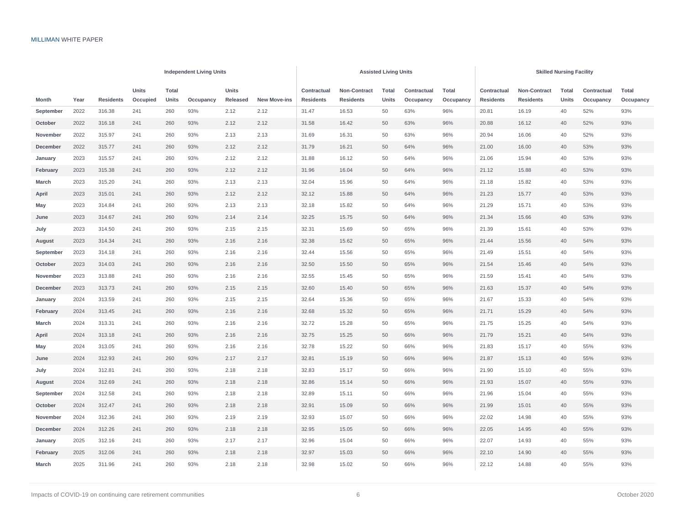|           |      |                  |          |       | <b>Independent Living Units</b> |          |                     |                  |                  | <b>Assisted Living Units</b> |           |             | <b>Skilled Nursing Facility</b> |                  |             |           |           |  |  |
|-----------|------|------------------|----------|-------|---------------------------------|----------|---------------------|------------------|------------------|------------------------------|-----------|-------------|---------------------------------|------------------|-------------|-----------|-----------|--|--|
|           |      |                  | Units    | Total |                                 | Units    |                     | Contractual      | Non-Contract     | Contractual                  | Total     | Contractual | Non-Contract                    | Total            | Contractual | Total     |           |  |  |
| Month     | Year | <b>Residents</b> | Occupied | Units | Occupancy                       | Released | <b>New Move-ins</b> | <b>Residents</b> | <b>Residents</b> | Units                        | Occupancy | Occupancy   | <b>Residents</b>                | <b>Residents</b> | Units       | Occupancy | Occupancy |  |  |
| September | 2022 | 316.38           | 241      | 260   | 93%                             | 2.12     | 2.12                | 31.47            | 16.53            | 50                           | 63%       | 96%         | 20.81                           | 16.19            | 40          | 52%       | 93%       |  |  |
| October   | 2022 | 316.18           | 241      | 260   | 93%                             | 2.12     | 2.12                | 31.58            | 16.42            | 50                           | 63%       | 96%         | 20.88                           | 16.12            | 40          | 52%       | 93%       |  |  |
| November  | 2022 | 315.97           | 241      | 260   | 93%                             | 2.13     | 2.13                | 31.69            | 16.31            | 50                           | 63%       | 96%         | 20.94                           | 16.06            | 40          | 52%       | 93%       |  |  |
| December  | 2022 | 315.77           | 241      | 260   | 93%                             | 2.12     | 2.12                | 31.79            | 16.21            | 50                           | 64%       | 96%         | 21.00                           | 16.00            | 40          | 53%       | 93%       |  |  |
| January   | 2023 | 315.57           | 241      | 260   | 93%                             | 2.12     | 2.12                | 31.88            | 16.12            | 50                           | 64%       | 96%         | 21.06                           | 15.94            | 40          | 53%       | 93%       |  |  |
| February  | 2023 | 315.38           | 241      | 260   | 93%                             | 2.12     | 2.12                | 31.96            | 16.04            | 50                           | 64%       | 96%         | 21.12                           | 15.88            | 40          | 53%       | 93%       |  |  |
| March     | 2023 | 315.20           | 241      | 260   | 93%                             | 2.13     | 2.13                | 32.04            | 15.96            | 50                           | 64%       | 96%         | 21.18                           | 15.82            | 40          | 53%       | 93%       |  |  |
| April     | 2023 | 315.01           | 241      | 260   | 93%                             | 2.12     | 2.12                | 32.12            | 15.88            | 50                           | 64%       | 96%         | 21.23                           | 15.77            | 40          | 53%       | 93%       |  |  |
| May       | 2023 | 314.84           | 241      | 260   | 93%                             | 2.13     | 2.13                | 32.18            | 15.82            | 50                           | 64%       | 96%         | 21.29                           | 15.71            | 40          | 53%       | 93%       |  |  |
| June      | 2023 | 314.67           | 241      | 260   | 93%                             | 2.14     | 2.14                | 32.25            | 15.75            | 50                           | 64%       | 96%         | 21.34                           | 15.66            | 40          | 53%       | 93%       |  |  |
| July      | 2023 | 314.50           | 241      | 260   | 93%                             | 2.15     | 2.15                | 32.31            | 15.69            | 50                           | 65%       | 96%         | 21.39                           | 15.61            | 40          | 53%       | 93%       |  |  |
| August    | 2023 | 314.34           | 241      | 260   | 93%                             | 2.16     | 2.16                | 32.38            | 15.62            | 50                           | 65%       | 96%         | 21.44                           | 15.56            | 40          | 54%       | 93%       |  |  |
| September | 2023 | 314.18           | 241      | 260   | 93%                             | 2.16     | 2.16                | 32.44            | 15.56            | 50                           | 65%       | 96%         | 21.49                           | 15.51            | 40          | 54%       | 93%       |  |  |
| October   | 2023 | 314.03           | 241      | 260   | 93%                             | 2.16     | 2.16                | 32.50            | 15.50            | 50                           | 65%       | 96%         | 21.54                           | 15.46            | 40          | 54%       | 93%       |  |  |
| November  | 2023 | 313.88           | 241      | 260   | 93%                             | 2.16     | 2.16                | 32.55            | 15.45            | 50                           | 65%       | 96%         | 21.59                           | 15.41            | 40          | 54%       | 93%       |  |  |
| December  | 2023 | 313.73           | 241      | 260   | 93%                             | 2.15     | 2.15                | 32.60            | 15.40            | 50                           | 65%       | 96%         | 21.63                           | 15.37            | 40          | 54%       | 93%       |  |  |
| January   | 2024 | 313.59           | 241      | 260   | 93%                             | 2.15     | 2.15                | 32.64            | 15.36            | 50                           | 65%       | 96%         | 21.67                           | 15.33            | 40          | 54%       | 93%       |  |  |
| February  | 2024 | 313.45           | 241      | 260   | 93%                             | 2.16     | 2.16                | 32.68            | 15.32            | 50                           | 65%       | 96%         | 21.71                           | 15.29            | 40          | 54%       | 93%       |  |  |
| March     | 2024 | 313.31           | 241      | 260   | 93%                             | 2.16     | 2.16                | 32.72            | 15.28            | 50                           | 65%       | 96%         | 21.75                           | 15.25            | 40          | 54%       | 93%       |  |  |
| April     | 2024 | 313.18           | 241      | 260   | 93%                             | 2.16     | 2.16                | 32.75            | 15.25            | 50                           | 66%       | 96%         | 21.79                           | 15.21            | 40          | 54%       | 93%       |  |  |
| May       | 2024 | 313.05           | 241      | 260   | 93%                             | 2.16     | 2.16                | 32.78            | 15.22            | 50                           | 66%       | 96%         | 21.83                           | 15.17            | 40          | 55%       | 93%       |  |  |
| June      | 2024 | 312.93           | 241      | 260   | 93%                             | 2.17     | 2.17                | 32.81            | 15.19            | 50                           | 66%       | 96%         | 21.87                           | 15.13            | 40          | 55%       | 93%       |  |  |
| July      | 2024 | 312.81           | 241      | 260   | 93%                             | 2.18     | 2.18                | 32.83            | 15.17            | 50                           | 66%       | 96%         | 21.90                           | 15.10            | 40          | 55%       | 93%       |  |  |
| August    | 2024 | 312.69           | 241      | 260   | 93%                             | 2.18     | 2.18                | 32.86            | 15.14            | 50                           | 66%       | 96%         | 21.93                           | 15.07            | 40          | 55%       | 93%       |  |  |
| September | 2024 | 312.58           | 241      | 260   | 93%                             | 2.18     | 2.18                | 32.89            | 15.11            | 50                           | 66%       | 96%         | 21.96                           | 15.04            | 40          | 55%       | 93%       |  |  |
| October   | 2024 | 312.47           | 241      | 260   | 93%                             | 2.18     | 2.18                | 32.91            | 15.09            | 50                           | 66%       | 96%         | 21.99                           | 15.01            | 40          | 55%       | 93%       |  |  |
| November  | 2024 | 312.36           | 241      | 260   | 93%                             | 2.19     | 2.19                | 32.93            | 15.07            | 50                           | 66%       | 96%         | 22.02                           | 14.98            | 40          | 55%       | 93%       |  |  |
| December  | 2024 | 312.26           | 241      | 260   | 93%                             | 2.18     | 2.18                | 32.95            | 15.05            | 50                           | 66%       | 96%         | 22.05                           | 14.95            | 40          | 55%       | 93%       |  |  |
| January   | 2025 | 312.16           | 241      | 260   | 93%                             | 2.17     | 2.17                | 32.96            | 15.04            | 50                           | 66%       | 96%         | 22.07                           | 14.93            | 40          | 55%       | 93%       |  |  |
| February  | 2025 | 312.06           | 241      | 260   | 93%                             | 2.18     | 2.18                | 32.97            | 15.03            | 50                           | 66%       | 96%         | 22.10                           | 14.90            | 40          | 55%       | 93%       |  |  |
| March     | 2025 | 311.96           | 241      | 260   | 93%                             | 2.18     | 2.18                | 32.98            | 15.02            | 50                           | 66%       | 96%         | 22.12                           | 14.88            | 40          | 55%       | 93%       |  |  |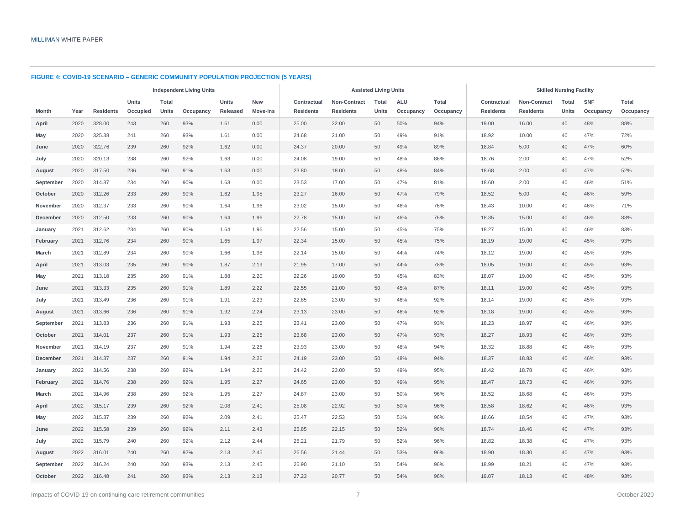#### **FIGURE 4: COVID-19 SCENARIO – GENERIC COMMUNITY POPULATION PROJECTION (5 YEARS)**

|              | <b>Independent Living Units</b> |                  |              |       |           |          |            |                  |                  | <b>Assisted Living Units</b> |            |           | <b>Skilled Nursing Facility</b> |                     |       |            |           |  |  |
|--------------|---------------------------------|------------------|--------------|-------|-----------|----------|------------|------------------|------------------|------------------------------|------------|-----------|---------------------------------|---------------------|-------|------------|-----------|--|--|
|              |                                 |                  | <b>Units</b> | Total |           | Units    | <b>New</b> | Contractual      | Non-Contract     | Total                        | <b>ALU</b> | Total     | Contractual                     | <b>Non-Contract</b> | Total | <b>SNF</b> | Total     |  |  |
| Month        | Year                            | <b>Residents</b> | Occupied     | Units | Occupancy | Released | Move-ins   | <b>Residents</b> | <b>Residents</b> | <b>Units</b>                 | Occupancy  | Occupancy | <b>Residents</b>                | <b>Residents</b>    | Units | Occupancy  | Occupancy |  |  |
| April        | 2020                            | 328.00           | 243          | 260   | 93%       | 1.61     | 0.00       | 25.00            | 22.00            | 50                           | 50%        | 94%       | 19.00                           | 16.00               | 40    | 48%        | 88%       |  |  |
| May          | 2020                            | 325.38           | 241          | 260   | 93%       | 1.61     | 0.00       | 24.68            | 21.00            | 50                           | 49%        | 91%       | 18.92                           | 10.00               | 40    | 47%        | 72%       |  |  |
| June         | 2020                            | 322.76           | 239          | 260   | 92%       | 1.62     | 0.00       | 24.37            | 20.00            | 50                           | 49%        | 89%       | 18.84                           | 5.00                | 40    | 47%        | 60%       |  |  |
| July         | 2020                            | 320.13           | 238          | 260   | 92%       | 1.63     | 0.00       | 24.08            | 19.00            | 50                           | 48%        | 86%       | 18.76                           | 2.00                | 40    | 47%        | 52%       |  |  |
| August       | 2020                            | 317.50           | 236          | 260   | 91%       | 1.63     | 0.00       | 23.80            | 18.00            | 50                           | 48%        | 84%       | 18.68                           | 2.00                | 40    | 47%        | 52%       |  |  |
| September    | 2020                            | 314.87           | 234          | 260   | 90%       | 1.63     | 0.00       | 23.53            | 17.00            | 50                           | 47%        | 81%       | 18.60                           | 2.00                | 40    | 46%        | 51%       |  |  |
| October      | 2020                            | 312.26           | 233          | 260   | 90%       | 1.62     | 1.95       | 23.27            | 16.00            | 50                           | 47%        | 79%       | 18.52                           | 5.00                | 40    | 46%        | 59%       |  |  |
| November     | 2020                            | 312.37           | 233          | 260   | 90%       | 1.64     | 1.96       | 23.02            | 15.00            | 50                           | 46%        | 76%       | 18.43                           | 10.00               | 40    | 46%        | 71%       |  |  |
| December     | 2020                            | 312.50           | 233          | 260   | 90%       | 1.64     | 1.96       | 22.78            | 15.00            | 50                           | 46%        | 76%       | 18.35                           | 15.00               | 40    | 46%        | 83%       |  |  |
| January      | 2021                            | 312.62           | 234          | 260   | 90%       | 1.64     | 1.96       | 22.56            | 15.00            | 50                           | 45%        | 75%       | 18.27                           | 15.00               | 40    | 46%        | 83%       |  |  |
| February     | 2021                            | 312.76           | 234          | 260   | 90%       | 1.65     | 1.97       | 22.34            | 15.00            | 50                           | 45%        | 75%       | 18.19                           | 19.00               | 40    | 45%        | 93%       |  |  |
| <b>March</b> | 2021                            | 312.89           | 234          | 260   | 90%       | 1.66     | 1.98       | 22.14            | 15.00            | 50                           | 44%        | 74%       | 18.12                           | 19.00               | 40    | 45%        | 93%       |  |  |
| April        | 2021                            | 313.03           | 235          | 260   | 90%       | 1.87     | 2.19       | 21.95            | 17.00            | 50                           | 44%        | 78%       | 18.05                           | 19.00               | 40    | 45%        | 93%       |  |  |
| May          | 2021                            | 313.18           | 235          | 260   | 91%       | 1.88     | 2.20       | 22.26            | 19.00            | 50                           | 45%        | 83%       | 18.07                           | 19.00               | 40    | 45%        | 93%       |  |  |
| June         | 2021                            | 313.33           | 235          | 260   | 91%       | 1.89     | 2.22       | 22.55            | 21.00            | 50                           | 45%        | 87%       | 18.11                           | 19.00               | 40    | 45%        | 93%       |  |  |
| July         | 2021                            | 313.49           | 236          | 260   | 91%       | 1.91     | 2.23       | 22.85            | 23.00            | 50                           | 46%        | 92%       | 18.14                           | 19.00               | 40    | 45%        | 93%       |  |  |
| August       | 2021                            | 313.66           | 236          | 260   | 91%       | 1.92     | 2.24       | 23.13            | 23.00            | 50                           | 46%        | 92%       | 18.18                           | 19.00               | 40    | 45%        | 93%       |  |  |
| September    | 2021                            | 313.83           | 236          | 260   | 91%       | 1.93     | 2.25       | 23.41            | 23.00            | 50                           | 47%        | 93%       | 18.23                           | 18.97               | 40    | 46%        | 93%       |  |  |
| October      | 2021                            | 314.01           | 237          | 260   | 91%       | 1.93     | 2.25       | 23.68            | 23.00            | 50                           | 47%        | 93%       | 18.27                           | 18.93               | 40    | 46%        | 93%       |  |  |
| November     | 2021                            | 314.19           | 237          | 260   | 91%       | 1.94     | 2.26       | 23.93            | 23.00            | 50                           | 48%        | 94%       | 18.32                           | 18.88               | 40    | 46%        | 93%       |  |  |
| December     | 2021                            | 314.37           | 237          | 260   | 91%       | 1.94     | 2.26       | 24.19            | 23.00            | 50                           | 48%        | 94%       | 18.37                           | 18.83               | 40    | 46%        | 93%       |  |  |
| January      | 2022                            | 314.56           | 238          | 260   | 92%       | 1.94     | 2.26       | 24.42            | 23.00            | 50                           | 49%        | 95%       | 18.42                           | 18.78               | 40    | 46%        | 93%       |  |  |
| February     | 2022                            | 314.76           | 238          | 260   | 92%       | 1.95     | 2.27       | 24.65            | 23.00            | 50                           | 49%        | 95%       | 18.47                           | 18.73               | 40    | 46%        | 93%       |  |  |
| March        | 2022                            | 314.96           | 238          | 260   | 92%       | 1.95     | 2.27       | 24.87            | 23.00            | 50                           | 50%        | 96%       | 18.52                           | 18.68               | 40    | 46%        | 93%       |  |  |
| April        | 2022                            | 315.17           | 239          | 260   | 92%       | 2.08     | 2.41       | 25.08            | 22.92            | 50                           | 50%        | 96%       | 18.58                           | 18.62               | 40    | 46%        | 93%       |  |  |
| May          | 2022                            | 315.37           | 239          | 260   | 92%       | 2.09     | 2.41       | 25.47            | 22.53            | 50                           | 51%        | 96%       | 18.66                           | 18.54               | 40    | 47%        | 93%       |  |  |
| June         | 2022                            | 315.58           | 239          | 260   | 92%       | 2.11     | 2.43       | 25.85            | 22.15            | 50                           | 52%        | 96%       | 18.74                           | 18.46               | 40    | 47%        | 93%       |  |  |
| July         | 2022                            | 315.79           | 240          | 260   | 92%       | 2.12     | 2.44       | 26.21            | 21.79            | 50                           | 52%        | 96%       | 18.82                           | 18.38               | 40    | 47%        | 93%       |  |  |
| August       | 2022                            | 316.01           | 240          | 260   | 92%       | 2.13     | 2.45       | 26.56            | 21.44            | 50                           | 53%        | 96%       | 18.90                           | 18.30               | 40    | 47%        | 93%       |  |  |
| September    | 2022                            | 316.24           | 240          | 260   | 93%       | 2.13     | 2.45       | 26.90            | 21.10            | 50                           | 54%        | 96%       | 18.99                           | 18.21               | 40    | 47%        | 93%       |  |  |
| October      | 2022                            | 316.48           | 241          | 260   | 93%       | 2.13     | 2.13       | 27.23            | 20.77            | 50                           | 54%        | 96%       | 19.07                           | 18.13               | 40    | 48%        | 93%       |  |  |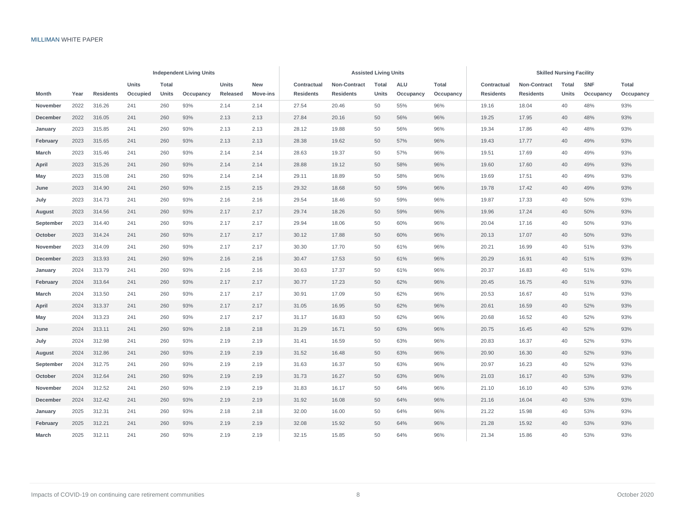|              |      |                  |          |              | <b>Independent Living Units</b> |          |                 |                  | <b>Assisted Living Units</b> |       |            | <b>Skilled Nursing Facility</b> |  |                  |                  |       |            |           |
|--------------|------|------------------|----------|--------------|---------------------------------|----------|-----------------|------------------|------------------------------|-------|------------|---------------------------------|--|------------------|------------------|-------|------------|-----------|
|              |      |                  | Units    | <b>Total</b> |                                 | Units    | New             | Contractual      | Non-Contract                 | Total | <b>ALU</b> | Total                           |  | Contractual      | Non-Contract     | Total | <b>SNF</b> | Total     |
| <b>Month</b> | Year | <b>Residents</b> | Occupied | <b>Units</b> | Occupancy                       | Released | <b>Move-ins</b> | <b>Residents</b> | <b>Residents</b>             | Units | Occupancy  | Occupancy                       |  | <b>Residents</b> | <b>Residents</b> | Units | Occupancy  | Occupancy |
| November     | 2022 | 316.26           | 241      | 260          | 93%                             | 2.14     | 2.14            | 27.54            | 20.46                        | 50    | 55%        | 96%                             |  | 19.16            | 18.04            | 40    | 48%        | 93%       |
| December     | 2022 | 316.05           | 241      | 260          | 93%                             | 2.13     | 2.13            | 27.84            | 20.16                        | 50    | 56%        | 96%                             |  | 19.25            | 17.95            | 40    | 48%        | 93%       |
| January      | 2023 | 315.85           | 241      | 260          | 93%                             | 2.13     | 2.13            | 28.12            | 19.88                        | 50    | 56%        | 96%                             |  | 19.34            | 17.86            | 40    | 48%        | 93%       |
| February     | 2023 | 315.65           | 241      | 260          | 93%                             | 2.13     | 2.13            | 28.38            | 19.62                        | 50    | 57%        | 96%                             |  | 19.43            | 17.77            | 40    | 49%        | 93%       |
| March        | 2023 | 315.46           | 241      | 260          | 93%                             | 2.14     | 2.14            | 28.63            | 19.37                        | 50    | 57%        | 96%                             |  | 19.51            | 17.69            | 40    | 49%        | 93%       |
| April        | 2023 | 315.26           | 241      | 260          | 93%                             | 2.14     | 2.14            | 28.88            | 19.12                        | 50    | 58%        | 96%                             |  | 19.60            | 17.60            | 40    | 49%        | 93%       |
| May          | 2023 | 315.08           | 241      | 260          | 93%                             | 2.14     | 2.14            | 29.11            | 18.89                        | 50    | 58%        | 96%                             |  | 19.69            | 17.51            | 40    | 49%        | 93%       |
| June         | 2023 | 314.90           | 241      | 260          | 93%                             | 2.15     | 2.15            | 29.32            | 18.68                        | 50    | 59%        | 96%                             |  | 19.78            | 17.42            | 40    | 49%        | 93%       |
| July         | 2023 | 314.73           | 241      | 260          | 93%                             | 2.16     | 2.16            | 29.54            | 18.46                        | 50    | 59%        | 96%                             |  | 19.87            | 17.33            | 40    | 50%        | 93%       |
| August       | 2023 | 314.56           | 241      | 260          | 93%                             | 2.17     | 2.17            | 29.74            | 18.26                        | 50    | 59%        | 96%                             |  | 19.96            | 17.24            | 40    | 50%        | 93%       |
| September    | 2023 | 314.40           | 241      | 260          | 93%                             | 2.17     | 2.17            | 29.94            | 18.06                        | 50    | 60%        | 96%                             |  | 20.04            | 17.16            | 40    | 50%        | 93%       |
| October      | 2023 | 314.24           | 241      | 260          | 93%                             | 2.17     | 2.17            | 30.12            | 17.88                        | 50    | 60%        | 96%                             |  | 20.13            | 17.07            | 40    | 50%        | 93%       |
| November     | 2023 | 314.09           | 241      | 260          | 93%                             | 2.17     | 2.17            | 30.30            | 17.70                        | 50    | 61%        | 96%                             |  | 20.21            | 16.99            | 40    | 51%        | 93%       |
| December     | 2023 | 313.93           | 241      | 260          | 93%                             | 2.16     | 2.16            | 30.47            | 17.53                        | 50    | 61%        | 96%                             |  | 20.29            | 16.91            | 40    | 51%        | 93%       |
| January      | 2024 | 313.79           | 241      | 260          | 93%                             | 2.16     | 2.16            | 30.63            | 17.37                        | 50    | 61%        | 96%                             |  | 20.37            | 16.83            | 40    | 51%        | 93%       |
| February     | 2024 | 313.64           | 241      | 260          | 93%                             | 2.17     | 2.17            | 30.77            | 17.23                        | 50    | 62%        | 96%                             |  | 20.45            | 16.75            | 40    | 51%        | 93%       |
| March        | 2024 | 313.50           | 241      | 260          | 93%                             | 2.17     | 2.17            | 30.91            | 17.09                        | 50    | 62%        | 96%                             |  | 20.53            | 16.67            | 40    | 51%        | 93%       |
| April        | 2024 | 313.37           | 241      | 260          | 93%                             | 2.17     | 2.17            | 31.05            | 16.95                        | 50    | 62%        | 96%                             |  | 20.61            | 16.59            | 40    | 52%        | 93%       |
| May          | 2024 | 313.23           | 241      | 260          | 93%                             | 2.17     | 2.17            | 31.17            | 16.83                        | 50    | 62%        | 96%                             |  | 20.68            | 16.52            | 40    | 52%        | 93%       |
| June         | 2024 | 313.11           | 241      | 260          | 93%                             | 2.18     | 2.18            | 31.29            | 16.71                        | 50    | 63%        | 96%                             |  | 20.75            | 16.45            | 40    | 52%        | 93%       |
| July         | 2024 | 312.98           | 241      | 260          | 93%                             | 2.19     | 2.19            | 31.41            | 16.59                        | 50    | 63%        | 96%                             |  | 20.83            | 16.37            | 40    | 52%        | 93%       |
| August       | 2024 | 312.86           | 241      | 260          | 93%                             | 2.19     | 2.19            | 31.52            | 16.48                        | 50    | 63%        | 96%                             |  | 20.90            | 16.30            | 40    | 52%        | 93%       |
| September    | 2024 | 312.75           | 241      | 260          | 93%                             | 2.19     | 2.19            | 31.63            | 16.37                        | 50    | 63%        | 96%                             |  | 20.97            | 16.23            | 40    | 52%        | 93%       |
| October      | 2024 | 312.64           | 241      | 260          | 93%                             | 2.19     | 2.19            | 31.73            | 16.27                        | 50    | 63%        | 96%                             |  | 21.03            | 16.17            | 40    | 53%        | 93%       |
| November     | 2024 | 312.52           | 241      | 260          | 93%                             | 2.19     | 2.19            | 31.83            | 16.17                        | 50    | 64%        | 96%                             |  | 21.10            | 16.10            | 40    | 53%        | 93%       |
| December     | 2024 | 312.42           | 241      | 260          | 93%                             | 2.19     | 2.19            | 31.92            | 16.08                        | 50    | 64%        | 96%                             |  | 21.16            | 16.04            | 40    | 53%        | 93%       |
| January      | 2025 | 312.31           | 241      | 260          | 93%                             | 2.18     | 2.18            | 32.00            | 16.00                        | 50    | 64%        | 96%                             |  | 21.22            | 15.98            | 40    | 53%        | 93%       |
| February     | 2025 | 312.21           | 241      | 260          | 93%                             | 2.19     | 2.19            | 32.08            | 15.92                        | 50    | 64%        | 96%                             |  | 21.28            | 15.92            | 40    | 53%        | 93%       |
| March        | 2025 | 312.11           | 241      | 260          | 93%                             | 2.19     | 2.19            | 32.15            | 15.85                        | 50    | 64%        | 96%                             |  | 21.34            | 15.86            | 40    | 53%        | 93%       |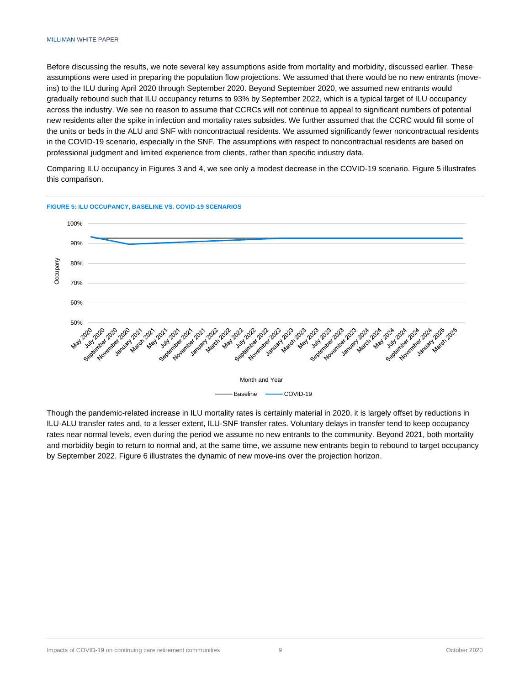Before discussing the results, we note several key assumptions aside from mortality and morbidity, discussed earlier. These assumptions were used in preparing the population flow projections. We assumed that there would be no new entrants (moveins) to the ILU during April 2020 through September 2020. Beyond September 2020, we assumed new entrants would gradually rebound such that ILU occupancy returns to 93% by September 2022, which is a typical target of ILU occupancy across the industry. We see no reason to assume that CCRCs will not continue to appeal to significant numbers of potential new residents after the spike in infection and mortality rates subsides. We further assumed that the CCRC would fill some of the units or beds in the ALU and SNF with noncontractual residents. We assumed significantly fewer noncontractual residents in the COVID-19 scenario, especially in the SNF. The assumptions with respect to noncontractual residents are based on professional judgment and limited experience from clients, rather than specific industry data.

Comparing ILU occupancy in Figures 3 and 4, we see only a modest decrease in the COVID-19 scenario. Figure 5 illustrates this comparison.



**FIGURE 5: ILU OCCUPANCY, BASELINE VS. COVID-19 SCENARIOS**

Though the pandemic-related increase in ILU mortality rates is certainly material in 2020, it is largely offset by reductions in ILU-ALU transfer rates and, to a lesser extent, ILU-SNF transfer rates. Voluntary delays in transfer tend to keep occupancy rates near normal levels, even during the period we assume no new entrants to the community. Beyond 2021, both mortality and morbidity begin to return to normal and, at the same time, we assume new entrants begin to rebound to target occupancy by September 2022. Figure 6 illustrates the dynamic of new move-ins over the projection horizon.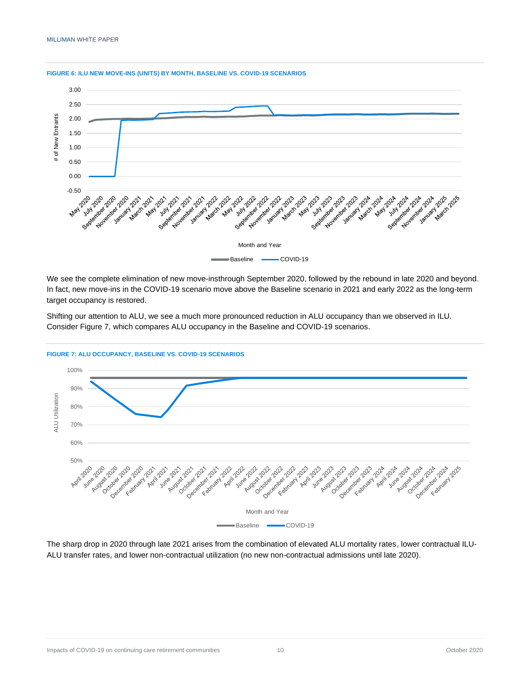

#### **FIGURE 6: ILU NEW MOVE-INS (UNITS) BY MONTH, BASELINE VS. COVID-19 SCENARIOS**

We see the complete elimination of new move-insthrough September 2020, followed by the rebound in late 2020 and beyond. In fact, new move-ins in the COVID-19 scenario move above the Baseline scenario in 2021 and early 2022 as the long-term target occupancy is restored.

Shifting our attention to ALU, we see a much more pronounced reduction in ALU occupancy than we observed in ILU. Consider Figure 7, which compares ALU occupancy in the Baseline and COVID-19 scenarios.



**FIGURE 7: ALU OCCUPANCY, BASELINE VS. COVID-19 SCENARIOS**

The sharp drop in 2020 through late 2021 arises from the combination of elevated ALU mortality rates, lower contractual ILU-ALU transfer rates, and lower non-contractual utilization (no new non-contractual admissions until late 2020).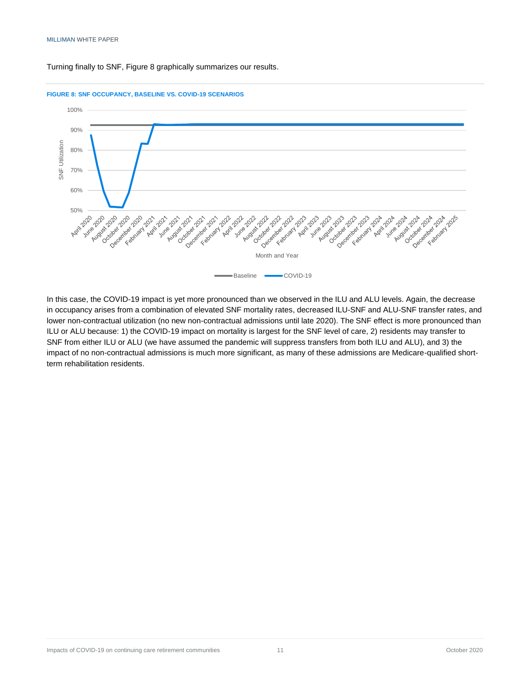Turning finally to SNF, Figure 8 graphically summarizes our results.



**FIGURE 8: SNF OCCUPANCY, BASELINE VS. COVID-19 SCENARIOS**

In this case, the COVID-19 impact is yet more pronounced than we observed in the ILU and ALU levels. Again, the decrease in occupancy arises from a combination of elevated SNF mortality rates, decreased ILU-SNF and ALU-SNF transfer rates, and lower non-contractual utilization (no new non-contractual admissions until late 2020). The SNF effect is more pronounced than ILU or ALU because: 1) the COVID-19 impact on mortality is largest for the SNF level of care, 2) residents may transfer to SNF from either ILU or ALU (we have assumed the pandemic will suppress transfers from both ILU and ALU), and 3) the impact of no non-contractual admissions is much more significant, as many of these admissions are Medicare-qualified shortterm rehabilitation residents.